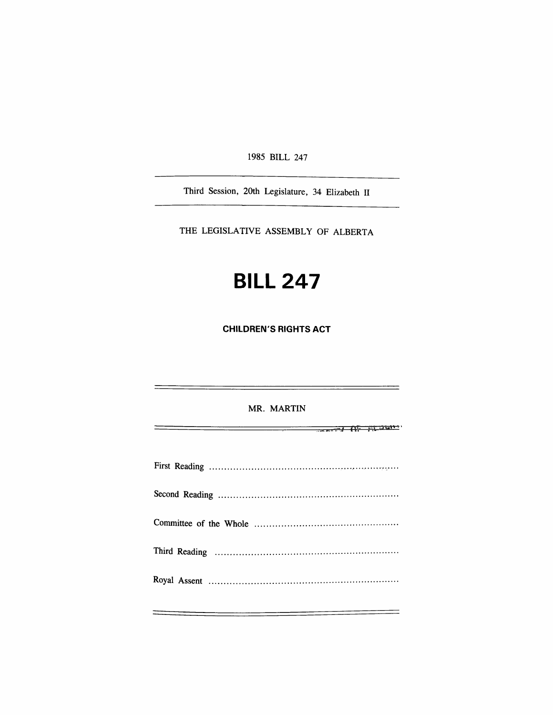1985 BILL 247

Third Session, 20th Legislature, 34 Elizabeth II

THE LEGISLATIVE ASSEMBLY OF ALBERTA

## **BILL 247**

**CHILDREN'S RIGHTS ACT** 

MR. MARTIN  $\frac{1}{2}$  **for the little state**  $\frac{1}{2}$ First Reading Second Reading Committee of the Whole Third Reading Royal Assent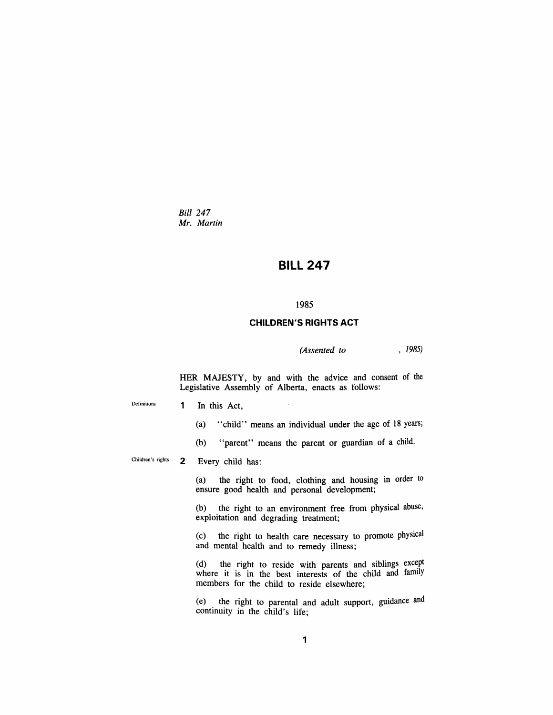*Bid 247 Mr. Martin* 

## **BILL 247**

## **1985**

## **CHILDREN'S RIGHTS ACT**

*(Assented to , 1985)* 

HER MAJESTY, by and with the advice and consent of the Legislative Assembly of Alberta, enacts as follows:

Definitions

- 1 In this Act,
	- (a) "child" means an individual under the age of 18 years;
	- (b) "parent" means the parent or guardian of a child.

**Children's rights**  2 Every child has:

> (a) the right to food, clothing and housing in order to ensure good health and personal development;

> (b) the right to an environment free from physical abuse, exploitation and degrading treatment;

> (c) the right to health care necessary to promote physical and mental health and to remedy illness;

> (d) the right to reside with parents and siblings except where it is in the best interests of the child and family members for the child to reside elsewhere;

> (e) the right to parental and adult support, guidance and continuity in the child's life;